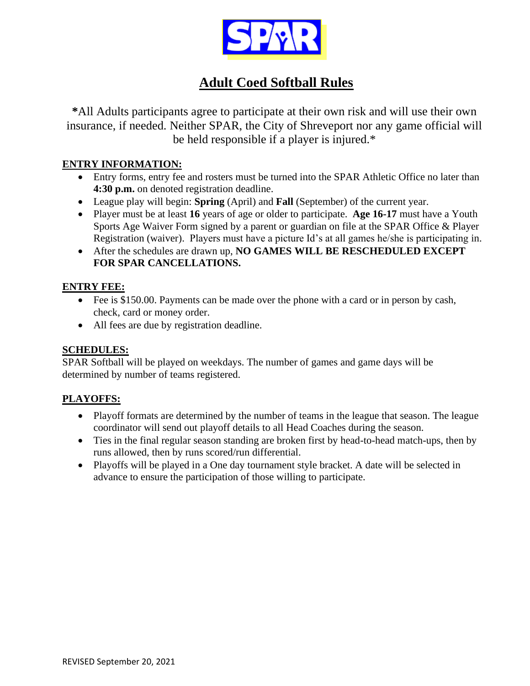

# **Adult Coed Softball Rules**

**\***All Adults participants agree to participate at their own risk and will use their own insurance, if needed. Neither SPAR, the City of Shreveport nor any game official will be held responsible if a player is injured.\*

### **ENTRY INFORMATION:**

- Entry forms, entry fee and rosters must be turned into the SPAR Athletic Office no later than **4:30 p.m.** on denoted registration deadline.
- League play will begin: **Spring** (April) and **Fall** (September) of the current year.
- Player must be at least **16** years of age or older to participate. **Age 16-17** must have a Youth Sports Age Waiver Form signed by a parent or guardian on file at the SPAR Office & Player Registration (waiver). Players must have a picture Id's at all games he/she is participating in.
- After the schedules are drawn up, **NO GAMES WILL BE RESCHEDULED EXCEPT FOR SPAR CANCELLATIONS.**

### **ENTRY FEE:**

- Fee is \$150.00. Payments can be made over the phone with a card or in person by cash, check, card or money order.
- All fees are due by registration deadline.

## **SCHEDULES:**

SPAR Softball will be played on weekdays. The number of games and game days will be determined by number of teams registered.

## **PLAYOFFS:**

- Playoff formats are determined by the number of teams in the league that season. The league coordinator will send out playoff details to all Head Coaches during the season.
- Ties in the final regular season standing are broken first by head-to-head match-ups, then by runs allowed, then by runs scored/run differential.
- Playoffs will be played in a One day tournament style bracket. A date will be selected in advance to ensure the participation of those willing to participate.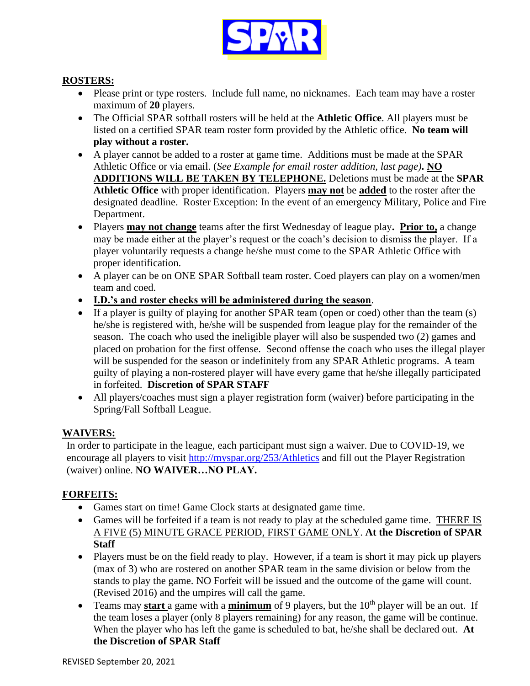

### **ROSTERS:**

- Please print or type rosters. Include full name, no nicknames. Each team may have a roster maximum of **20** players.
- The Official SPAR softball rosters will be held at the **Athletic Office**. All players must be listed on a certified SPAR team roster form provided by the Athletic office. **No team will play without a roster.**
- A player cannot be added to a roster at game time. Additions must be made at the SPAR Athletic Office or via email. (*See Example for email roster addition, last page)***. NO ADDITIONS WILL BE TAKEN BY TELEPHONE.** Deletions must be made at the **SPAR Athletic Office** with proper identification. Players **may not** be **added** to the roster after the designated deadline. Roster Exception: In the event of an emergency Military, Police and Fire Department.
- Players **may not change** teams after the first Wednesday of league play**. Prior to,** a change may be made either at the player's request or the coach's decision to dismiss the player. If a player voluntarily requests a change he/she must come to the SPAR Athletic Office with proper identification.
- A player can be on ONE SPAR Softball team roster. Coed players can play on a women/men team and coed.
- **I.D.'s and roster checks will be administered during the season**.
- If a player is guilty of playing for another SPAR team (open or coed) other than the team (s) he/she is registered with, he/she will be suspended from league play for the remainder of the season. The coach who used the ineligible player will also be suspended two (2) games and placed on probation for the first offense. Second offense the coach who uses the illegal player will be suspended for the season or indefinitely from any SPAR Athletic programs. A team guilty of playing a non-rostered player will have every game that he/she illegally participated in forfeited. **Discretion of SPAR STAFF**
- All players/coaches must sign a player registration form (waiver) before participating in the Spring/Fall Softball League.

#### **WAIVERS:**

In order to participate in the league, each participant must sign a waiver. Due to COVID-19, we encourage all players to visit <http://myspar.org/253/Athletics> and fill out the Player Registration (waiver) online. **NO WAIVER…NO PLAY.**

### **FORFEITS:**

- Games start on time! Game Clock starts at designated game time.
- Games will be forfeited if a team is not ready to play at the scheduled game time. THERE IS A FIVE (5) MINUTE GRACE PERIOD, FIRST GAME ONLY. **At the Discretion of SPAR Staff**
- Players must be on the field ready to play. However, if a team is short it may pick up players (max of 3) who are rostered on another SPAR team in the same division or below from the stands to play the game. NO Forfeit will be issued and the outcome of the game will count. (Revised 2016) and the umpires will call the game.
- Teams may **start** a game with a **minimum** of 9 players, but the 10<sup>th</sup> player will be an out. If the team loses a player (only 8 players remaining) for any reason, the game will be continue. When the player who has left the game is scheduled to bat, he/she shall be declared out. **At the Discretion of SPAR Staff**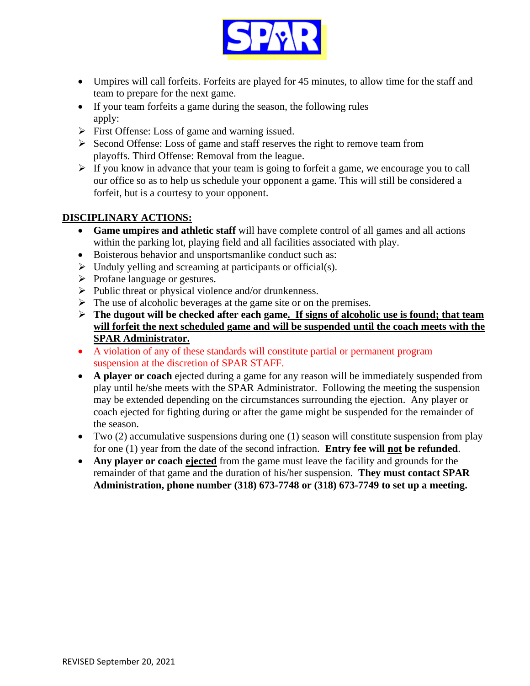

- Umpires will call forfeits. Forfeits are played for 45 minutes, to allow time for the staff and team to prepare for the next game.
- If your team forfeits a game during the season, the following rules apply:
- ➢ First Offense: Loss of game and warning issued.
- ➢ Second Offense: Loss of game and staff reserves the right to remove team from playoffs. Third Offense: Removal from the league.
- ➢ If you know in advance that your team is going to forfeit a game, we encourage you to call our office so as to help us schedule your opponent a game. This will still be considered a forfeit, but is a courtesy to your opponent.

### **DISCIPLINARY ACTIONS:**

- **Game umpires and athletic staff** will have complete control of all games and all actions within the parking lot, playing field and all facilities associated with play.
- Boisterous behavior and unsportsmanlike conduct such as:
- ➢ Unduly yelling and screaming at participants or official(s).
- ➢ Profane language or gestures.
- ➢ Public threat or physical violence and/or drunkenness.
- $\triangleright$  The use of alcoholic beverages at the game site or on the premises.
- ➢ **The dugout will be checked after each game. If signs of alcoholic use is found; that team will forfeit the next scheduled game and will be suspended until the coach meets with the SPAR Administrator.**
- A violation of any of these standards will constitute partial or permanent program suspension at the discretion of SPAR STAFF.
- **A player or coach** ejected during a game for any reason will be immediately suspended from play until he/she meets with the SPAR Administrator. Following the meeting the suspension may be extended depending on the circumstances surrounding the ejection. Any player or coach ejected for fighting during or after the game might be suspended for the remainder of the season.
- Two (2) accumulative suspensions during one (1) season will constitute suspension from play for one (1) year from the date of the second infraction. **Entry fee will not be refunded**.
- **Any player or coach ejected** from the game must leave the facility and grounds for the remainder of that game and the duration of his/her suspension. **They must contact SPAR Administration, phone number (318) 673-7748 or (318) 673-7749 to set up a meeting.**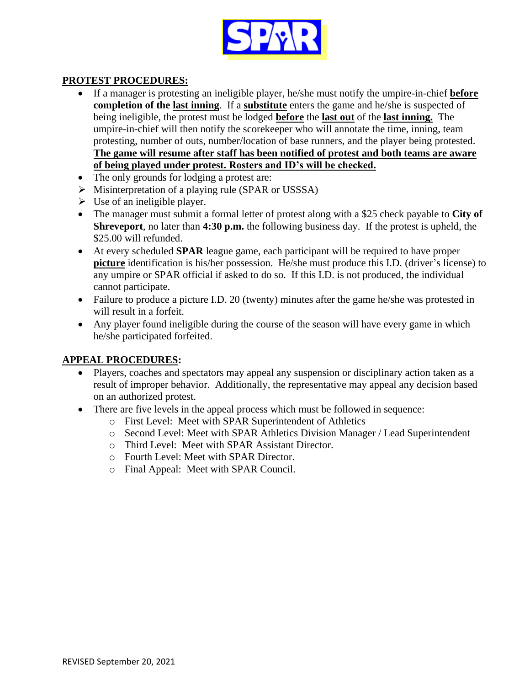

### **PROTEST PROCEDURES:**

- If a manager is protesting an ineligible player, he/she must notify the umpire-in-chief **before completion of the last inning**. If a **substitute** enters the game and he/she is suspected of being ineligible, the protest must be lodged **before** the **last out** of the **last inning.** The umpire-in-chief will then notify the scorekeeper who will annotate the time, inning, team protesting, number of outs, number/location of base runners, and the player being protested. **The game will resume after staff has been notified of protest and both teams are aware of being played under protest. Rosters and ID's will be checked.**
- The only grounds for lodging a protest are:
- ➢ Misinterpretation of a playing rule (SPAR or USSSA)
- $\triangleright$  Use of an ineligible player.
- The manager must submit a formal letter of protest along with a \$25 check payable to **City of Shreveport**, no later than **4:30 p.m.** the following business day. If the protest is upheld, the \$25.00 will refunded.
- At every scheduled **SPAR** league game, each participant will be required to have proper **picture** identification is his/her possession. He/she must produce this I.D. (driver's license) to any umpire or SPAR official if asked to do so. If this I.D. is not produced, the individual cannot participate.
- Failure to produce a picture I.D. 20 (twenty) minutes after the game he/she was protested in will result in a forfeit.
- Any player found ineligible during the course of the season will have every game in which he/she participated forfeited.

#### **APPEAL PROCEDURES:**

- Players, coaches and spectators may appeal any suspension or disciplinary action taken as a result of improper behavior. Additionally, the representative may appeal any decision based on an authorized protest.
- There are five levels in the appeal process which must be followed in sequence:
	- o First Level: Meet with SPAR Superintendent of Athletics
	- o Second Level: Meet with SPAR Athletics Division Manager / Lead Superintendent
	- o Third Level: Meet with SPAR Assistant Director.
	- o Fourth Level: Meet with SPAR Director.
	- o Final Appeal: Meet with SPAR Council.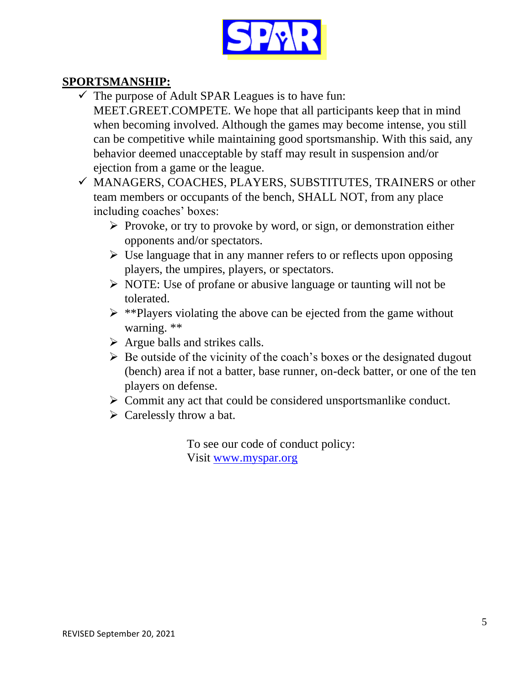

## **SPORTSMANSHIP:**

- $\checkmark$  The purpose of Adult SPAR Leagues is to have fun: MEET.GREET.COMPETE. We hope that all participants keep that in mind when becoming involved. Although the games may become intense, you still can be competitive while maintaining good sportsmanship. With this said, any behavior deemed unacceptable by staff may result in suspension and/or ejection from a game or the league.
- ✓ MANAGERS, COACHES, PLAYERS, SUBSTITUTES, TRAINERS or other team members or occupants of the bench, SHALL NOT, from any place including coaches' boxes:
	- ➢ Provoke, or try to provoke by word, or sign, or demonstration either opponents and/or spectators.
	- ➢ Use language that in any manner refers to or reflects upon opposing players, the umpires, players, or spectators.
	- ➢ NOTE: Use of profane or abusive language or taunting will not be tolerated.
	- $\triangleright$  \*\*Players violating the above can be ejected from the game without warning. \*\*
	- $\triangleright$  Argue balls and strikes calls.
	- $\triangleright$  Be outside of the vicinity of the coach's boxes or the designated dugout (bench) area if not a batter, base runner, on-deck batter, or one of the ten players on defense.
	- ➢ Commit any act that could be considered unsportsmanlike conduct.
	- $\triangleright$  Carelessly throw a bat.

To see our code of conduct policy: Visit [www.myspar.org](http://www.myspar.org/)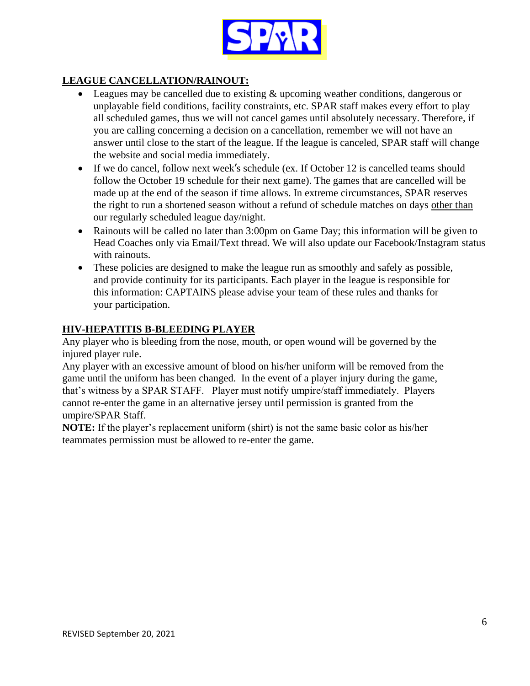

## **LEAGUE CANCELLATION/RAINOUT:**

- Leagues may be cancelled due to existing & upcoming weather conditions, dangerous or unplayable field conditions, facility constraints, etc. SPAR staff makes every effort to play all scheduled games, thus we will not cancel games until absolutely necessary. Therefore, if you are calling concerning a decision on a cancellation, remember we will not have an answer until close to the start of the league. If the league is canceled, SPAR staff will change the website and social media immediately.
- If we do cancel, follow next week's schedule (ex. If October 12 is cancelled teams should follow the October 19 schedule for their next game). The games that are cancelled will be made up at the end of the season if time allows. In extreme circumstances, SPAR reserves the right to run a shortened season without a refund of schedule matches on days other than our regularly scheduled league day/night.
- Rainouts will be called no later than 3:00pm on Game Day; this information will be given to Head Coaches only via Email/Text thread. We will also update our Facebook/Instagram status with rainouts.
- These policies are designed to make the league run as smoothly and safely as possible, and provide continuity for its participants. Each player in the league is responsible for this information: CAPTAINS please advise your team of these rules and thanks for your participation.

### **HIV-HEPATITIS B-BLEEDING PLAYER**

Any player who is bleeding from the nose, mouth, or open wound will be governed by the injured player rule.

Any player with an excessive amount of blood on his/her uniform will be removed from the game until the uniform has been changed. In the event of a player injury during the game, that's witness by a SPAR STAFF. Player must notify umpire/staff immediately. Players cannot re-enter the game in an alternative jersey until permission is granted from the umpire/SPAR Staff.

**NOTE:** If the player's replacement uniform (shirt) is not the same basic color as his/her teammates permission must be allowed to re-enter the game.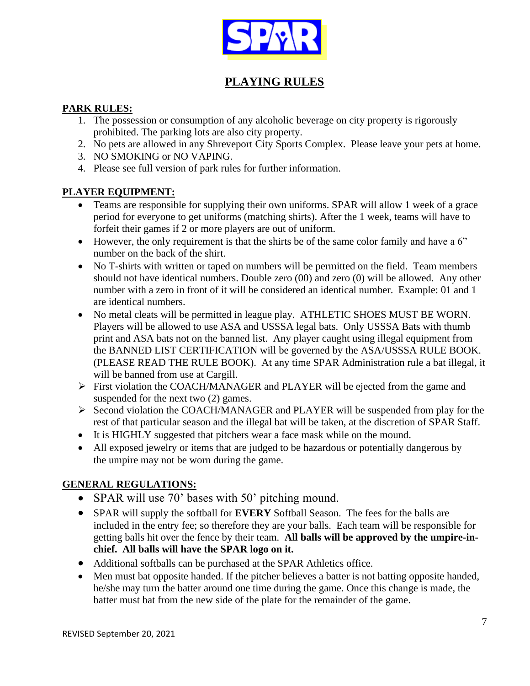

## **PLAYING RULES**

### **PARK RULES:**

- 1. The possession or consumption of any alcoholic beverage on city property is rigorously prohibited. The parking lots are also city property.
- 2. No pets are allowed in any Shreveport City Sports Complex. Please leave your pets at home.
- 3. NO SMOKING or NO VAPING.
- 4. Please see full version of park rules for further information.

## **PLAYER EQUIPMENT:**

- Teams are responsible for supplying their own uniforms. SPAR will allow 1 week of a grace period for everyone to get uniforms (matching shirts). After the 1 week, teams will have to forfeit their games if 2 or more players are out of uniform.
- However, the only requirement is that the shirts be of the same color family and have a 6" number on the back of the shirt.
- No T-shirts with written or taped on numbers will be permitted on the field. Team members should not have identical numbers. Double zero (00) and zero (0) will be allowed. Any other number with a zero in front of it will be considered an identical number. Example: 01 and 1 are identical numbers.
- No metal cleats will be permitted in league play. ATHLETIC SHOES MUST BE WORN. Players will be allowed to use ASA and USSSA legal bats. Only USSSA Bats with thumb print and ASA bats not on the banned list. Any player caught using illegal equipment from the BANNED LIST CERTIFICATION will be governed by the ASA/USSSA RULE BOOK. (PLEASE READ THE RULE BOOK). At any time SPAR Administration rule a bat illegal, it will be banned from use at Cargill.
- ➢ First violation the COACH/MANAGER and PLAYER will be ejected from the game and suspended for the next two (2) games.
- ➢ Second violation the COACH/MANAGER and PLAYER will be suspended from play for the rest of that particular season and the illegal bat will be taken, at the discretion of SPAR Staff.
- It is HIGHLY suggested that pitchers wear a face mask while on the mound.
- All exposed jewelry or items that are judged to be hazardous or potentially dangerous by the umpire may not be worn during the game.

## **GENERAL REGULATIONS:**

- SPAR will use 70' bases with 50' pitching mound.
- SPAR will supply the softball for **EVERY** Softball Season. The fees for the balls are included in the entry fee; so therefore they are your balls. Each team will be responsible for getting balls hit over the fence by their team. **All balls will be approved by the umpire-inchief. All balls will have the SPAR logo on it.**
- Additional softballs can be purchased at the SPAR Athletics office.
- Men must bat opposite handed. If the pitcher believes a batter is not batting opposite handed, he/she may turn the batter around one time during the game. Once this change is made, the batter must bat from the new side of the plate for the remainder of the game.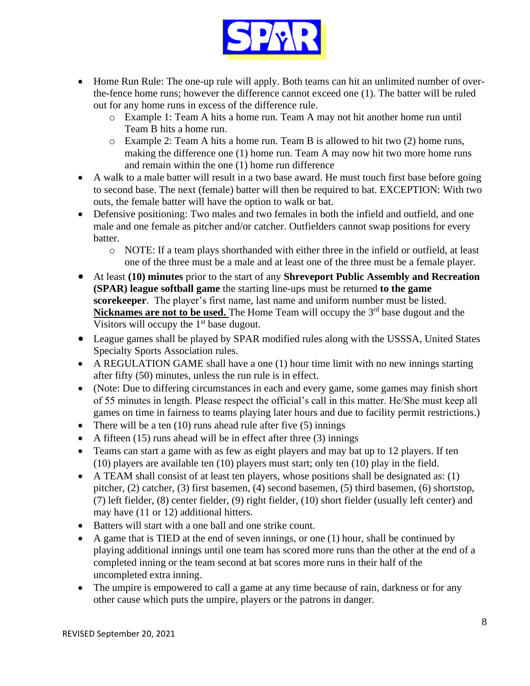

- Home Run Rule: The one-up rule will apply. Both teams can hit an unlimited number of overthe-fence home runs; however the difference cannot exceed one (1). The batter will be ruled out for any home runs in excess of the difference rule.
	- o Example 1: Team A hits a home run. Team A may not hit another home run until Team B hits a home run.
	- o Example 2: Team A hits a home run. Team B is allowed to hit two (2) home runs, making the difference one (1) home run. Team A may now hit two more home runs and remain within the one (1) home run difference
- A walk to a male batter will result in a two base award. He must touch first base before going to second base. The next (female) batter will then be required to bat. EXCEPTION: With two outs, the female batter will have the option to walk or bat.
- Defensive positioning: Two males and two females in both the infield and outfield, and one male and one female as pitcher and/or catcher. Outfielders cannot swap positions for every batter.
	- o NOTE: If a team plays shorthanded with either three in the infield or outfield, at least one of the three must be a male and at least one of the three must be a female player.
- At least **(10) minutes** prior to the start of any **Shreveport Public Assembly and Recreation (SPAR) league softball game** the starting line-ups must be returned **to the game scorekeeper**. The player's first name, last name and uniform number must be listed. **Nicknames are not to be used.** The Home Team will occupy the 3<sup>rd</sup> base dugout and the Visitors will occupy the  $1<sup>st</sup>$  base dugout.
- League games shall be played by SPAR modified rules along with the USSSA, United States Specialty Sports Association rules.
- A REGULATION GAME shall have a one (1) hour time limit with no new innings starting after fifty (50) minutes, unless the run rule is in effect.
- (Note: Due to differing circumstances in each and every game, some games may finish short of 55 minutes in length. Please respect the official's call in this matter. He/She must keep all games on time in fairness to teams playing later hours and due to facility permit restrictions.)
- There will be a ten  $(10)$  runs ahead rule after five  $(5)$  innings
- A fifteen  $(15)$  runs ahead will be in effect after three  $(3)$  innings
- Teams can start a game with as few as eight players and may bat up to 12 players. If ten (10) players are available ten (10) players must start; only ten (10) play in the field.
- A TEAM shall consist of at least ten players, whose positions shall be designated as: (1) pitcher, (2) catcher, (3) first basemen, (4) second basemen, (5) third basemen, (6) shortstop, (7) left fielder, (8) center fielder, (9) right fielder, (10) short fielder (usually left center) and may have (11 or 12) additional hitters.
- Batters will start with a one ball and one strike count.
- A game that is TIED at the end of seven innings, or one (1) hour, shall be continued by playing additional innings until one team has scored more runs than the other at the end of a completed inning or the team second at bat scores more runs in their half of the uncompleted extra inning.
- The umpire is empowered to call a game at any time because of rain, darkness or for any other cause which puts the umpire, players or the patrons in danger.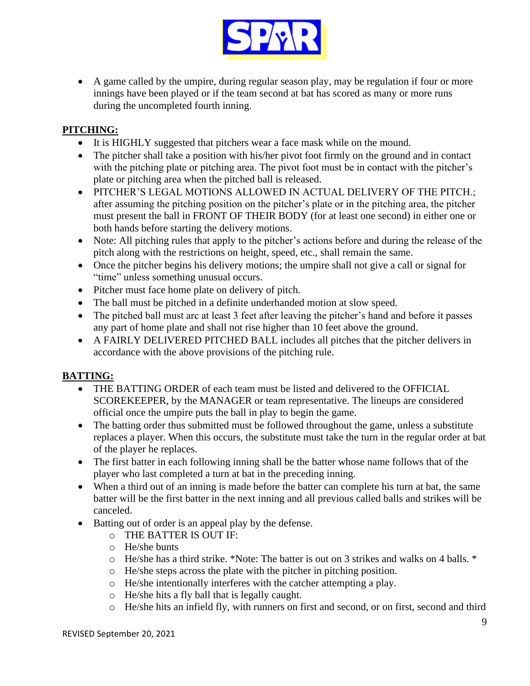

• A game called by the umpire, during regular season play, may be regulation if four or more innings have been played or if the team second at bat has scored as many or more runs during the uncompleted fourth inning.

## **PITCHING:**

- It is HIGHLY suggested that pitchers wear a face mask while on the mound.
- The pitcher shall take a position with his/her pivot foot firmly on the ground and in contact with the pitching plate or pitching area. The pivot foot must be in contact with the pitcher's plate or pitching area when the pitched ball is released.
- PITCHER'S LEGAL MOTIONS ALLOWED IN ACTUAL DELIVERY OF THE PITCH.; after assuming the pitching position on the pitcher's plate or in the pitching area, the pitcher must present the ball in FRONT OF THEIR BODY (for at least one second) in either one or both hands before starting the delivery motions.
- Note: All pitching rules that apply to the pitcher's actions before and during the release of the pitch along with the restrictions on height, speed, etc., shall remain the same.
- Once the pitcher begins his delivery motions; the umpire shall not give a call or signal for "time" unless something unusual occurs.
- Pitcher must face home plate on delivery of pitch.
- The ball must be pitched in a definite underhanded motion at slow speed.
- The pitched ball must arc at least 3 feet after leaving the pitcher's hand and before it passes any part of home plate and shall not rise higher than 10 feet above the ground.
- A FAIRLY DELIVERED PITCHED BALL includes all pitches that the pitcher delivers in accordance with the above provisions of the pitching rule.

## **BATTING:**

- THE BATTING ORDER of each team must be listed and delivered to the OFFICIAL SCOREKEEPER, by the MANAGER or team representative. The lineups are considered official once the umpire puts the ball in play to begin the game.
- The batting order thus submitted must be followed throughout the game, unless a substitute replaces a player. When this occurs, the substitute must take the turn in the regular order at bat of the player he replaces.
- The first batter in each following inning shall be the batter whose name follows that of the player who last completed a turn at bat in the preceding inning.
- When a third out of an inning is made before the batter can complete his turn at bat, the same batter will be the first batter in the next inning and all previous called balls and strikes will be canceled.
- Batting out of order is an appeal play by the defense.
	- o THE BATTER IS OUT IF:
	- o He/she bunts
	- o He/she has a third strike. \*Note: The batter is out on 3 strikes and walks on 4 balls. \*
	- o He/she steps across the plate with the pitcher in pitching position.
	- o He/she intentionally interferes with the catcher attempting a play.
	- o He/she hits a fly ball that is legally caught.
	- o He/she hits an infield fly, with runners on first and second, or on first, second and third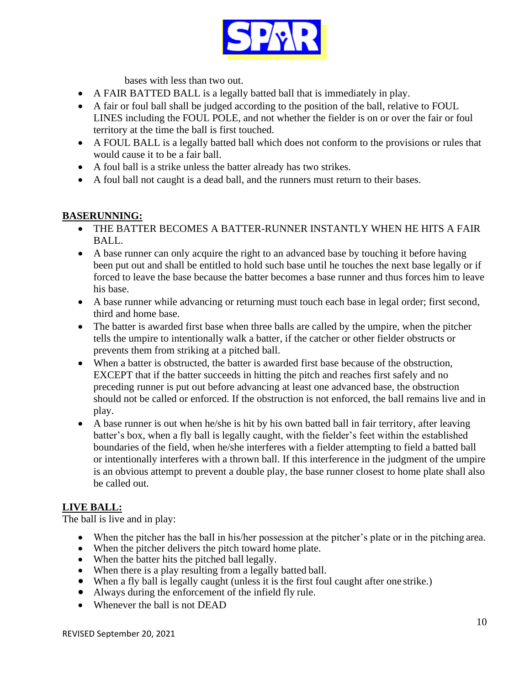

bases with less than two out.

- A FAIR BATTED BALL is a legally batted ball that is immediately in play.
- A fair or foul ball shall be judged according to the position of the ball, relative to FOUL LINES including the FOUL POLE, and not whether the fielder is on or over the fair or foul territory at the time the ball is first touched.
- A FOUL BALL is a legally batted ball which does not conform to the provisions or rules that would cause it to be a fair ball.
- A foul ball is a strike unless the batter already has two strikes.
- A foul ball not caught is a dead ball, and the runners must return to their bases.

### **BASERUNNING:**

- THE BATTER BECOMES A BATTER-RUNNER INSTANTLY WHEN HE HITS A FAIR BALL.
- A base runner can only acquire the right to an advanced base by touching it before having been put out and shall be entitled to hold such base until he touches the next base legally or if forced to leave the base because the batter becomes a base runner and thus forces him to leave his base.
- A base runner while advancing or returning must touch each base in legal order; first second, third and home base.
- The batter is awarded first base when three balls are called by the umpire, when the pitcher tells the umpire to intentionally walk a batter, if the catcher or other fielder obstructs or prevents them from striking at a pitched ball.
- When a batter is obstructed, the batter is awarded first base because of the obstruction, EXCEPT that if the batter succeeds in hitting the pitch and reaches first safely and no preceding runner is put out before advancing at least one advanced base, the obstruction should not be called or enforced. If the obstruction is not enforced, the ball remains live and in play.
- A base runner is out when he/she is hit by his own batted ball in fair territory, after leaving batter's box, when a fly ball is legally caught, with the fielder's feet within the established boundaries of the field, when he/she interferes with a fielder attempting to field a batted ball or intentionally interferes with a thrown ball. If this interference in the judgment of the umpire is an obvious attempt to prevent a double play, the base runner closest to home plate shall also be called out.

## **LIVE BALL:**

The ball is live and in play:

- When the pitcher has the ball in his/her possession at the pitcher's plate or in the pitching area.
- When the pitcher delivers the pitch toward home plate.
- When the batter hits the pitched ball legally.
- When there is a play resulting from a legally batted ball.
- When a fly ball is legally caught (unless it is the first foul caught after one strike.)
- Always during the enforcement of the infield fly rule.
- Whenever the ball is not DEAD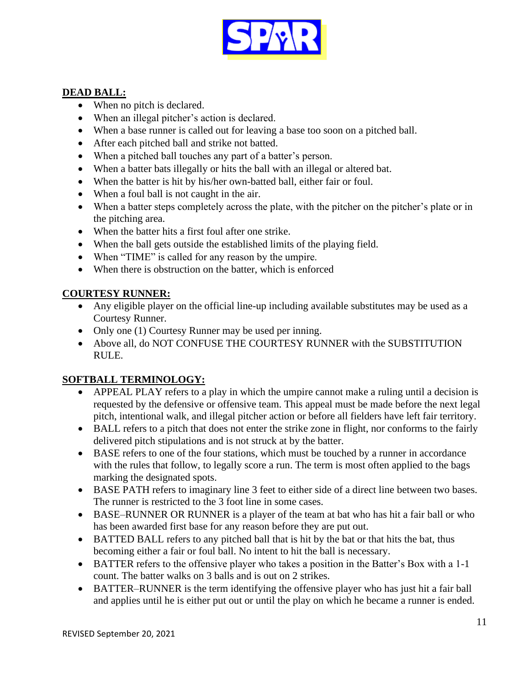

## **DEAD BALL:**

- When no pitch is declared.
- When an illegal pitcher's action is declared.
- When a base runner is called out for leaving a base too soon on a pitched ball.
- After each pitched ball and strike not batted.
- When a pitched ball touches any part of a batter's person.
- When a batter bats illegally or hits the ball with an illegal or altered bat.
- When the batter is hit by his/her own-batted ball, either fair or foul.
- When a foul ball is not caught in the air.
- When a batter steps completely across the plate, with the pitcher on the pitcher's plate or in the pitching area.
- When the batter hits a first foul after one strike.
- When the ball gets outside the established limits of the playing field.
- When "TIME" is called for any reason by the umpire.
- When there is obstruction on the batter, which is enforced

## **COURTESY RUNNER:**

- Any eligible player on the official line-up including available substitutes may be used as a Courtesy Runner.
- Only one (1) Courtesy Runner may be used per inning.
- Above all, do NOT CONFUSE THE COURTESY RUNNER with the SUBSTITUTION RULE.

## **SOFTBALL TERMINOLOGY:**

- APPEAL PLAY refers to a play in which the umpire cannot make a ruling until a decision is requested by the defensive or offensive team. This appeal must be made before the next legal pitch, intentional walk, and illegal pitcher action or before all fielders have left fair territory.
- BALL refers to a pitch that does not enter the strike zone in flight, nor conforms to the fairly delivered pitch stipulations and is not struck at by the batter.
- BASE refers to one of the four stations, which must be touched by a runner in accordance with the rules that follow, to legally score a run. The term is most often applied to the bags marking the designated spots.
- BASE PATH refers to imaginary line 3 feet to either side of a direct line between two bases. The runner is restricted to the 3 foot line in some cases.
- BASE–RUNNER OR RUNNER is a player of the team at bat who has hit a fair ball or who has been awarded first base for any reason before they are put out.
- BATTED BALL refers to any pitched ball that is hit by the bat or that hits the bat, thus becoming either a fair or foul ball. No intent to hit the ball is necessary.
- BATTER refers to the offensive player who takes a position in the Batter's Box with a 1-1 count. The batter walks on 3 balls and is out on 2 strikes.
- BATTER–RUNNER is the term identifying the offensive player who has just hit a fair ball and applies until he is either put out or until the play on which he became a runner is ended.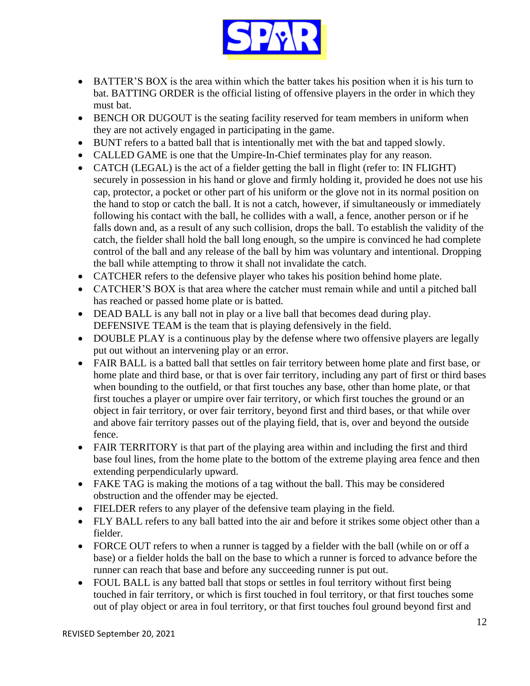

- BATTER'S BOX is the area within which the batter takes his position when it is his turn to bat. BATTING ORDER is the official listing of offensive players in the order in which they must bat.
- BENCH OR DUGOUT is the seating facility reserved for team members in uniform when they are not actively engaged in participating in the game.
- BUNT refers to a batted ball that is intentionally met with the bat and tapped slowly.
- CALLED GAME is one that the Umpire-In-Chief terminates play for any reason.
- CATCH (LEGAL) is the act of a fielder getting the ball in flight (refer to: IN FLIGHT) securely in possession in his hand or glove and firmly holding it, provided he does not use his cap, protector, a pocket or other part of his uniform or the glove not in its normal position on the hand to stop or catch the ball. It is not a catch, however, if simultaneously or immediately following his contact with the ball, he collides with a wall, a fence, another person or if he falls down and, as a result of any such collision, drops the ball. To establish the validity of the catch, the fielder shall hold the ball long enough, so the umpire is convinced he had complete control of the ball and any release of the ball by him was voluntary and intentional. Dropping the ball while attempting to throw it shall not invalidate the catch.
- CATCHER refers to the defensive player who takes his position behind home plate.
- CATCHER'S BOX is that area where the catcher must remain while and until a pitched ball has reached or passed home plate or is batted.
- DEAD BALL is any ball not in play or a live ball that becomes dead during play. DEFENSIVE TEAM is the team that is playing defensively in the field.
- DOUBLE PLAY is a continuous play by the defense where two offensive players are legally put out without an intervening play or an error.
- FAIR BALL is a batted ball that settles on fair territory between home plate and first base, or home plate and third base, or that is over fair territory, including any part of first or third bases when bounding to the outfield, or that first touches any base, other than home plate, or that first touches a player or umpire over fair territory, or which first touches the ground or an object in fair territory, or over fair territory, beyond first and third bases, or that while over and above fair territory passes out of the playing field, that is, over and beyond the outside fence.
- FAIR TERRITORY is that part of the playing area within and including the first and third base foul lines, from the home plate to the bottom of the extreme playing area fence and then extending perpendicularly upward.
- FAKE TAG is making the motions of a tag without the ball. This may be considered obstruction and the offender may be ejected.
- FIELDER refers to any player of the defensive team playing in the field.
- FLY BALL refers to any ball batted into the air and before it strikes some object other than a fielder.
- FORCE OUT refers to when a runner is tagged by a fielder with the ball (while on or off a base) or a fielder holds the ball on the base to which a runner is forced to advance before the runner can reach that base and before any succeeding runner is put out.
- FOUL BALL is any batted ball that stops or settles in foul territory without first being touched in fair territory, or which is first touched in foul territory, or that first touches some out of play object or area in foul territory, or that first touches foul ground beyond first and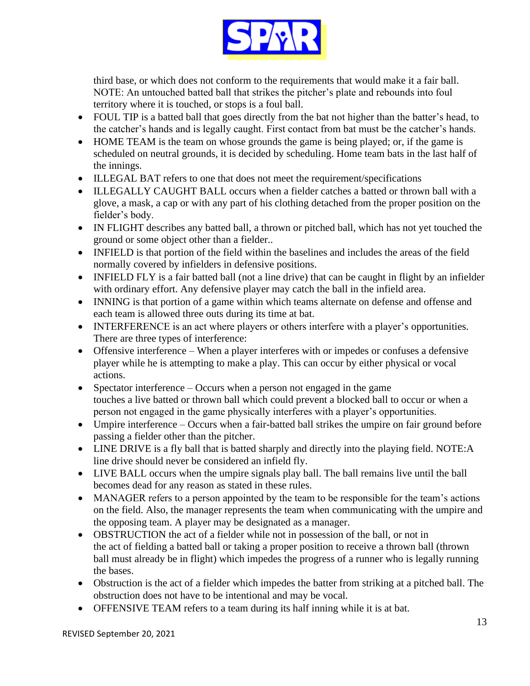

third base, or which does not conform to the requirements that would make it a fair ball. NOTE: An untouched batted ball that strikes the pitcher's plate and rebounds into foul territory where it is touched, or stops is a foul ball.

- FOUL TIP is a batted ball that goes directly from the bat not higher than the batter's head, to the catcher's hands and is legally caught. First contact from bat must be the catcher's hands.
- HOME TEAM is the team on whose grounds the game is being played; or, if the game is scheduled on neutral grounds, it is decided by scheduling. Home team bats in the last half of the innings.
- ILLEGAL BAT refers to one that does not meet the requirement/specifications
- ILLEGALLY CAUGHT BALL occurs when a fielder catches a batted or thrown ball with a glove, a mask, a cap or with any part of his clothing detached from the proper position on the fielder's body.
- IN FLIGHT describes any batted ball, a thrown or pitched ball, which has not yet touched the ground or some object other than a fielder..
- INFIELD is that portion of the field within the baselines and includes the areas of the field normally covered by infielders in defensive positions.
- INFIELD FLY is a fair batted ball (not a line drive) that can be caught in flight by an infielder with ordinary effort. Any defensive player may catch the ball in the infield area.
- INNING is that portion of a game within which teams alternate on defense and offense and each team is allowed three outs during its time at bat.
- INTERFERENCE is an act where players or others interfere with a player's opportunities. There are three types of interference:
- Offensive interference When a player interferes with or impedes or confuses a defensive player while he is attempting to make a play. This can occur by either physical or vocal actions.
- Spectator interference Occurs when a person not engaged in the game touches a live batted or thrown ball which could prevent a blocked ball to occur or when a person not engaged in the game physically interferes with a player's opportunities.
- Umpire interference Occurs when a fair-batted ball strikes the umpire on fair ground before passing a fielder other than the pitcher.
- LINE DRIVE is a fly ball that is batted sharply and directly into the playing field. NOTE:A line drive should never be considered an infield fly.
- LIVE BALL occurs when the umpire signals play ball. The ball remains live until the ball becomes dead for any reason as stated in these rules.
- MANAGER refers to a person appointed by the team to be responsible for the team's actions on the field. Also, the manager represents the team when communicating with the umpire and the opposing team. A player may be designated as a manager.
- OBSTRUCTION the act of a fielder while not in possession of the ball, or not in the act of fielding a batted ball or taking a proper position to receive a thrown ball (thrown ball must already be in flight) which impedes the progress of a runner who is legally running the bases.
- Obstruction is the act of a fielder which impedes the batter from striking at a pitched ball. The obstruction does not have to be intentional and may be vocal.
- OFFENSIVE TEAM refers to a team during its half inning while it is at bat.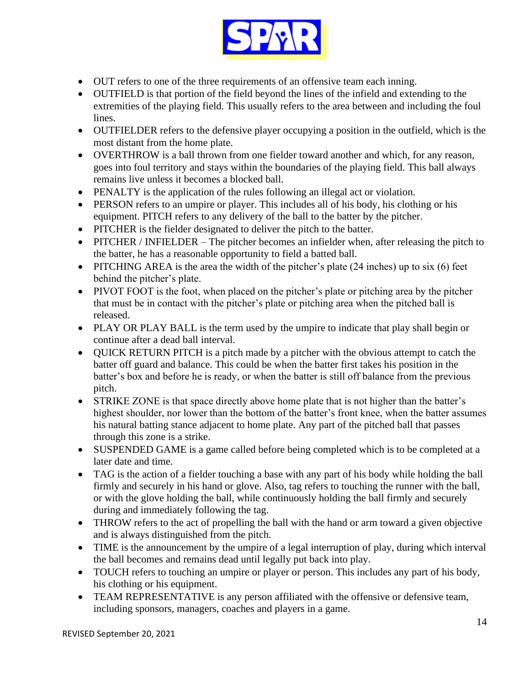

- OUT refers to one of the three requirements of an offensive team each inning.
- OUTFIELD is that portion of the field beyond the lines of the infield and extending to the extremities of the playing field. This usually refers to the area between and including the foul lines.
- OUTFIELDER refers to the defensive player occupying a position in the outfield, which is the most distant from the home plate.
- OVERTHROW is a ball thrown from one fielder toward another and which, for any reason, goes into foul territory and stays within the boundaries of the playing field. This ball always remains live unless it becomes a blocked ball.
- PENALTY is the application of the rules following an illegal act or violation.
- PERSON refers to an umpire or player. This includes all of his body, his clothing or his equipment. PITCH refers to any delivery of the ball to the batter by the pitcher.
- PITCHER is the fielder designated to deliver the pitch to the batter.
- PITCHER / INFIELDER The pitcher becomes an infielder when, after releasing the pitch to the batter, he has a reasonable opportunity to field a batted ball.
- PITCHING AREA is the area the width of the pitcher's plate (24 inches) up to six (6) feet behind the pitcher's plate.
- PIVOT FOOT is the foot, when placed on the pitcher's plate or pitching area by the pitcher that must be in contact with the pitcher's plate or pitching area when the pitched ball is released.
- PLAY OR PLAY BALL is the term used by the umpire to indicate that play shall begin or continue after a dead ball interval.
- QUICK RETURN PITCH is a pitch made by a pitcher with the obvious attempt to catch the batter off guard and balance. This could be when the batter first takes his position in the batter's box and before he is ready, or when the batter is still off balance from the previous pitch.
- STRIKE ZONE is that space directly above home plate that is not higher than the batter's highest shoulder, nor lower than the bottom of the batter's front knee, when the batter assumes his natural batting stance adjacent to home plate. Any part of the pitched ball that passes through this zone is a strike.
- SUSPENDED GAME is a game called before being completed which is to be completed at a later date and time.
- TAG is the action of a fielder touching a base with any part of his body while holding the ball firmly and securely in his hand or glove. Also, tag refers to touching the runner with the ball, or with the glove holding the ball, while continuously holding the ball firmly and securely during and immediately following the tag.
- THROW refers to the act of propelling the ball with the hand or arm toward a given objective and is always distinguished from the pitch.
- TIME is the announcement by the umpire of a legal interruption of play, during which interval the ball becomes and remains dead until legally put back into play.
- TOUCH refers to touching an umpire or player or person. This includes any part of his body, his clothing or his equipment.
- TEAM REPRESENTATIVE is any person affiliated with the offensive or defensive team, including sponsors, managers, coaches and players in a game.